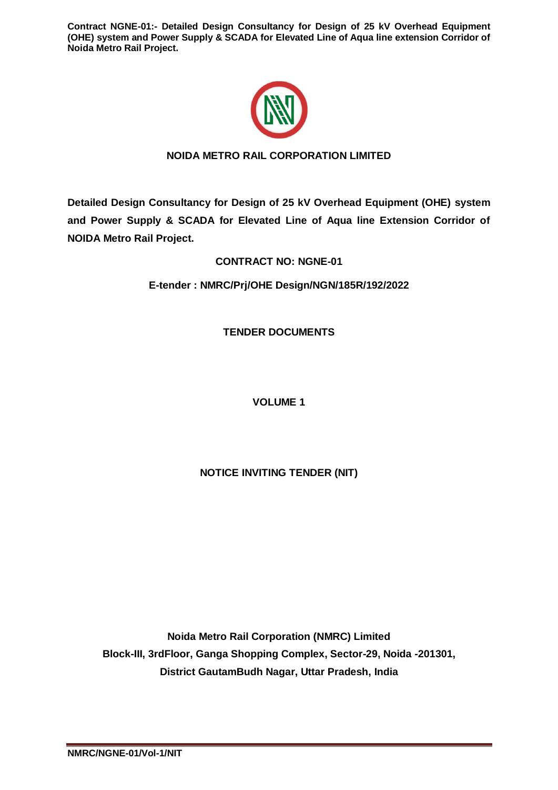

# **NOIDA METRO RAIL CORPORATION LIMITED**

**Detailed Design Consultancy for Design of 25 kV Overhead Equipment (OHE) system and Power Supply & SCADA for Elevated Line of Aqua line Extension Corridor of NOIDA Metro Rail Project.**

**CONTRACT NO: NGNE-01**

**E-tender : NMRC/Prj/OHE Design/NGN/185R/192/2022**

**TENDER DOCUMENTS**

**VOLUME 1** 

**NOTICE INVITING TENDER (NIT)**

**Noida Metro Rail Corporation (NMRC) Limited Block-III, 3rdFloor, Ganga Shopping Complex, Sector-29, Noida -201301, District GautamBudh Nagar, Uttar Pradesh, India**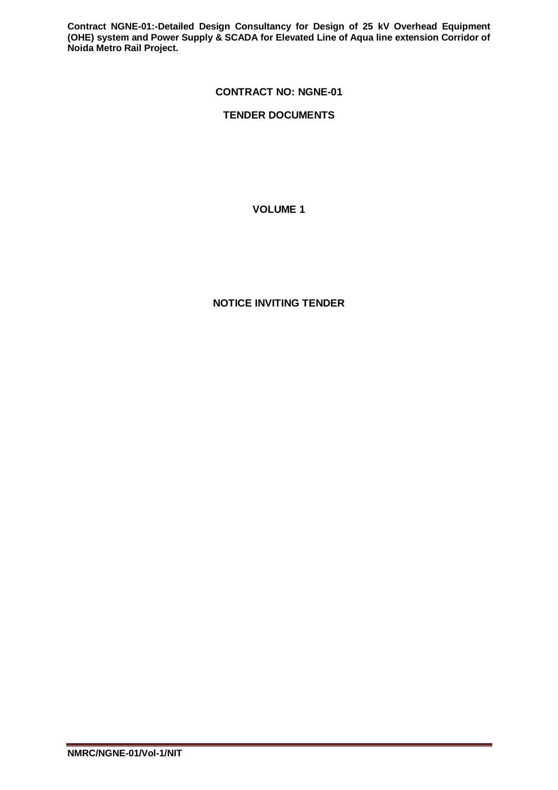# **CONTRACT NO: NGNE-01**

# **TENDER DOCUMENTS**

## **VOLUME 1**

# **NOTICE INVITING TENDER**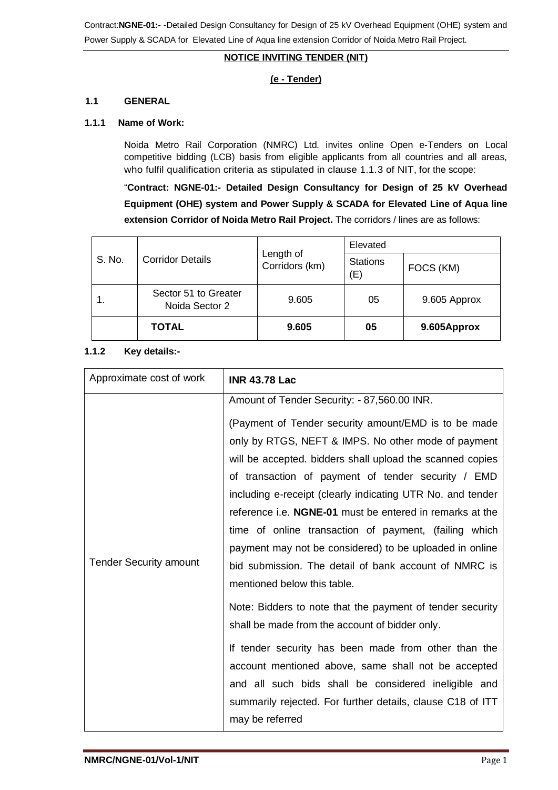# **NOTICE INVITING TENDER (NIT)**

## **(e - Tender)**

### **1.1 GENERAL**

### **1.1.1 Name of Work:**

Noida Metro Rail Corporation (NMRC) Ltd. invites online Open e-Tenders on Local competitive bidding (LCB) basis from eligible applicants from all countries and all areas, who fulfil qualification criteria as stipulated in clause 1.1.3 of NIT, for the scope:

"**Contract: NGNE-01:- Detailed Design Consultancy for Design of 25 kV Overhead Equipment (OHE) system and Power Supply & SCADA for Elevated Line of Aqua line extension Corridor of Noida Metro Rail Project.** The corridors / lines are as follows:

| S. No. | <b>Corridor Details</b>                | Length of<br>Corridors (km) | Elevated               |              |
|--------|----------------------------------------|-----------------------------|------------------------|--------------|
|        |                                        |                             | <b>Stations</b><br>(E) | FOCS (KM)    |
|        | Sector 51 to Greater<br>Noida Sector 2 | 9.605                       | 05                     | 9.605 Approx |
|        | <b>TOTAL</b>                           | 9.605                       | 05                     | 9.605Approx  |

### **1.1.2 Key details:-**

| Approximate cost of work      | <b>INR 43.78 Lac</b>                                       |
|-------------------------------|------------------------------------------------------------|
|                               | Amount of Tender Security: - 87,560.00 INR.                |
|                               | (Payment of Tender security amount/EMD is to be made       |
|                               | only by RTGS, NEFT & IMPS. No other mode of payment        |
|                               | will be accepted. bidders shall upload the scanned copies  |
|                               | of transaction of payment of tender security / EMD         |
|                               | including e-receipt (clearly indicating UTR No. and tender |
|                               | reference i.e. NGNE-01 must be entered in remarks at the   |
|                               | time of online transaction of payment, (failing which      |
|                               | payment may not be considered) to be uploaded in online    |
| <b>Tender Security amount</b> | bid submission. The detail of bank account of NMRC is      |
|                               | mentioned below this table.                                |
|                               | Note: Bidders to note that the payment of tender security  |
|                               | shall be made from the account of bidder only.             |
|                               | If tender security has been made from other than the       |
|                               | account mentioned above, same shall not be accepted        |
|                               | and all such bids shall be considered ineligible and       |
|                               | summarily rejected. For further details, clause C18 of ITT |
|                               | may be referred                                            |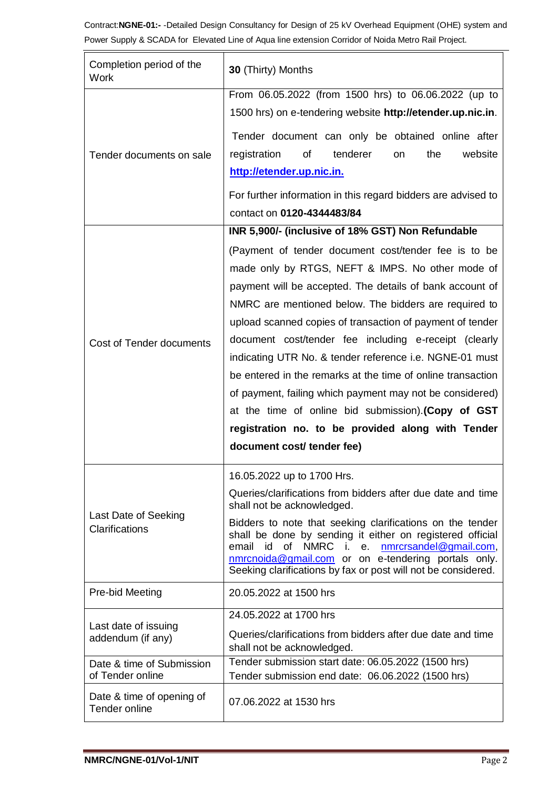| Completion period of the<br>Work              | 30 (Thirty) Months                                                                                                                                                                                                                                                                                                                                                                                                                                                                                                                                                                                                                                                                  |  |  |
|-----------------------------------------------|-------------------------------------------------------------------------------------------------------------------------------------------------------------------------------------------------------------------------------------------------------------------------------------------------------------------------------------------------------------------------------------------------------------------------------------------------------------------------------------------------------------------------------------------------------------------------------------------------------------------------------------------------------------------------------------|--|--|
| Tender documents on sale                      | From 06.05.2022 (from 1500 hrs) to 06.06.2022 (up to<br>1500 hrs) on e-tendering website http://etender.up.nic.in.<br>Tender document can only be obtained online after<br>of<br>registration<br>tenderer<br>the<br>website<br><b>on</b><br>http://etender.up.nic.in.<br>For further information in this regard bidders are advised to<br>contact on 0120-4344483/84                                                                                                                                                                                                                                                                                                                |  |  |
|                                               | INR 5,900/- (inclusive of 18% GST) Non Refundable                                                                                                                                                                                                                                                                                                                                                                                                                                                                                                                                                                                                                                   |  |  |
| Cost of Tender documents                      | (Payment of tender document cost/tender fee is to be<br>made only by RTGS, NEFT & IMPS. No other mode of<br>payment will be accepted. The details of bank account of<br>NMRC are mentioned below. The bidders are required to<br>upload scanned copies of transaction of payment of tender<br>document cost/tender fee including e-receipt (clearly<br>indicating UTR No. & tender reference i.e. NGNE-01 must<br>be entered in the remarks at the time of online transaction<br>of payment, failing which payment may not be considered)<br>at the time of online bid submission). (Copy of GST<br>registration no. to be provided along with Tender<br>document cost/ tender fee) |  |  |
| Last Date of Seeking<br>Clarifications        | 16.05.2022 up to 1700 Hrs.<br>Queries/clarifications from bidders after due date and time<br>shall not be acknowledged.<br>Bidders to note that seeking clarifications on the tender<br>shall be done by sending it either on registered official<br>email id<br>of<br>NMRC i.<br>e. nmrcrsandel@gmail.com,<br>nmrcnoida@gmail.com or on e-tendering portals only.<br>Seeking clarifications by fax or post will not be considered.                                                                                                                                                                                                                                                 |  |  |
| Pre-bid Meeting                               | 20.05.2022 at 1500 hrs                                                                                                                                                                                                                                                                                                                                                                                                                                                                                                                                                                                                                                                              |  |  |
| Last date of issuing<br>addendum (if any)     | 24.05.2022 at 1700 hrs<br>Queries/clarifications from bidders after due date and time<br>shall not be acknowledged.                                                                                                                                                                                                                                                                                                                                                                                                                                                                                                                                                                 |  |  |
| Date & time of Submission<br>of Tender online | Tender submission start date: 06.05.2022 (1500 hrs)<br>Tender submission end date: 06.06.2022 (1500 hrs)                                                                                                                                                                                                                                                                                                                                                                                                                                                                                                                                                                            |  |  |
| Date & time of opening of<br>Tender online    | 07.06.2022 at 1530 hrs                                                                                                                                                                                                                                                                                                                                                                                                                                                                                                                                                                                                                                                              |  |  |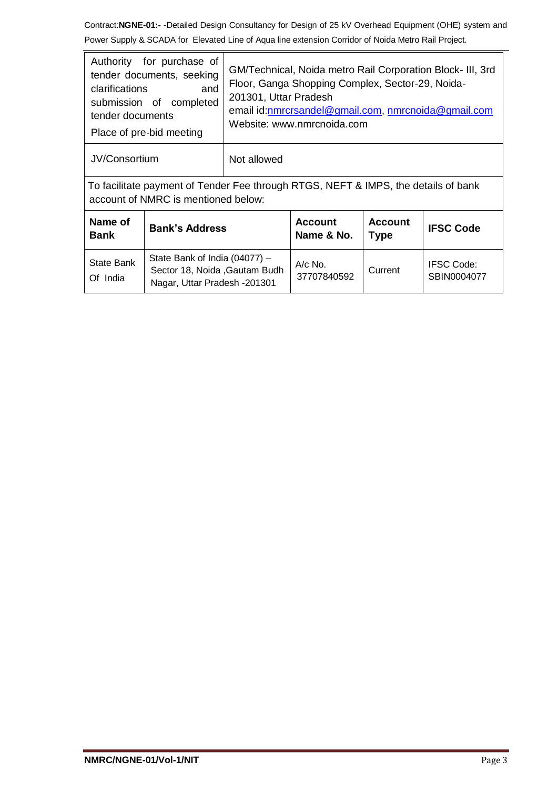| Authority for purchase of<br>tender documents, seeking<br><b>clarifications</b><br>and<br>submission of completed<br>tender documents<br>Place of pre-bid meeting |                                                                                                 | GM/Technical, Noida metro Rail Corporation Block- III, 3rd<br>Floor, Ganga Shopping Complex, Sector-29, Noida-<br>201301, Uttar Pradesh<br>email id: nmrcrsandel@gmail.com, nmrcnoida@gmail.com<br>Website: www.nmrcnoida.com |                              |                               |                                  |
|-------------------------------------------------------------------------------------------------------------------------------------------------------------------|-------------------------------------------------------------------------------------------------|-------------------------------------------------------------------------------------------------------------------------------------------------------------------------------------------------------------------------------|------------------------------|-------------------------------|----------------------------------|
| JV/Consortium<br>Not allowed                                                                                                                                      |                                                                                                 |                                                                                                                                                                                                                               |                              |                               |                                  |
| To facilitate payment of Tender Fee through RTGS, NEFT & IMPS, the details of bank<br>account of NMRC is mentioned below:                                         |                                                                                                 |                                                                                                                                                                                                                               |                              |                               |                                  |
| Name of<br><b>Bank</b>                                                                                                                                            | <b>Bank's Address</b>                                                                           |                                                                                                                                                                                                                               | <b>Account</b><br>Name & No. | <b>Account</b><br><b>Type</b> | <b>IFSC Code</b>                 |
| State Bank<br>Of India                                                                                                                                            | State Bank of India (04077) -<br>Sector 18, Noida , Gautam Budh<br>Nagar, Uttar Pradesh -201301 |                                                                                                                                                                                                                               | A/c No.<br>37707840592       | Current                       | <b>IFSC Code:</b><br>SBIN0004077 |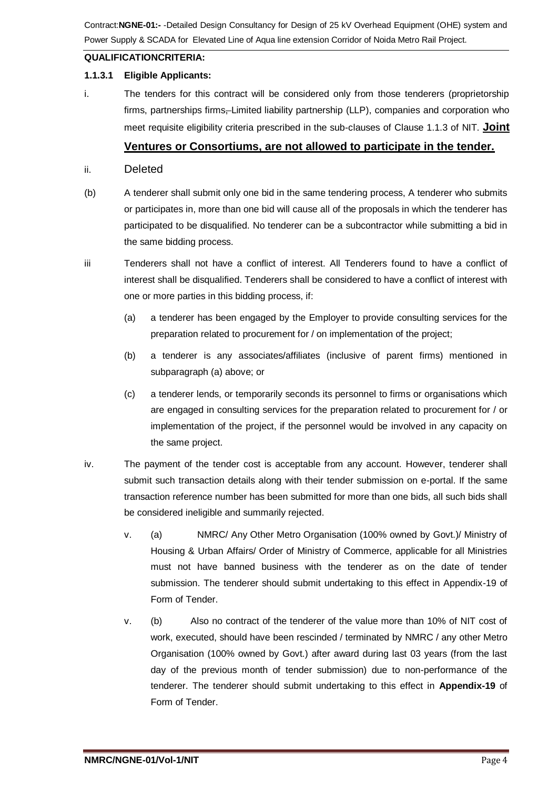# **QUALIFICATIONCRITERIA:**

## **1.1.3.1 Eligible Applicants:**

i. The tenders for this contract will be considered only from those tenderers (proprietorship firms, partnerships firms, Limited liability partnership (LLP), companies and corporation who meet requisite eligibility criteria prescribed in the sub-clauses of Clause 1.1.3 of NIT. **Joint** 

# **Ventures or Consortiums, are not allowed to participate in the tender.**

- ii. Deleted
- (b) A tenderer shall submit only one bid in the same tendering process, A tenderer who submits or participates in, more than one bid will cause all of the proposals in which the tenderer has participated to be disqualified. No tenderer can be a subcontractor while submitting a bid in the same bidding process.
- iii Tenderers shall not have a conflict of interest. All Tenderers found to have a conflict of interest shall be disqualified. Tenderers shall be considered to have a conflict of interest with one or more parties in this bidding process, if:
	- (a) a tenderer has been engaged by the Employer to provide consulting services for the preparation related to procurement for / on implementation of the project;
	- (b) a tenderer is any associates/affiliates (inclusive of parent firms) mentioned in subparagraph (a) above; or
	- (c) a tenderer lends, or temporarily seconds its personnel to firms or organisations which are engaged in consulting services for the preparation related to procurement for / or implementation of the project, if the personnel would be involved in any capacity on the same project.
- iv. The payment of the tender cost is acceptable from any account. However, tenderer shall submit such transaction details along with their tender submission on e-portal. If the same transaction reference number has been submitted for more than one bids, all such bids shall be considered ineligible and summarily rejected.
	- v. (a) NMRC/ Any Other Metro Organisation (100% owned by Govt.)/ Ministry of Housing & Urban Affairs/ Order of Ministry of Commerce, applicable for all Ministries must not have banned business with the tenderer as on the date of tender submission. The tenderer should submit undertaking to this effect in Appendix-19 of Form of Tender.
	- v. (b) Also no contract of the tenderer of the value more than 10% of NIT cost of work, executed, should have been rescinded / terminated by NMRC / any other Metro Organisation (100% owned by Govt.) after award during last 03 years (from the last day of the previous month of tender submission) due to non-performance of the tenderer. The tenderer should submit undertaking to this effect in **Appendix-19** of Form of Tender.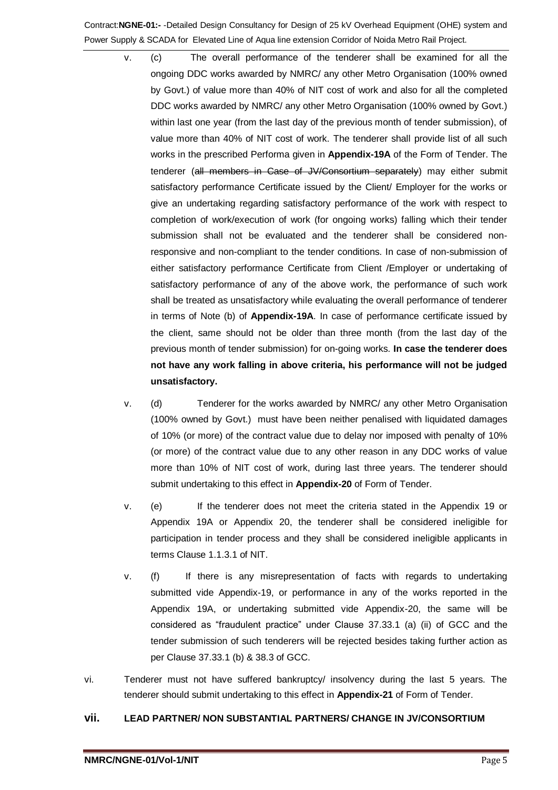- v. (c) The overall performance of the tenderer shall be examined for all the ongoing DDC works awarded by NMRC/ any other Metro Organisation (100% owned by Govt.) of value more than 40% of NIT cost of work and also for all the completed DDC works awarded by NMRC/ any other Metro Organisation (100% owned by Govt.) within last one year (from the last day of the previous month of tender submission), of value more than 40% of NIT cost of work. The tenderer shall provide list of all such works in the prescribed Performa given in **Appendix-19A** of the Form of Tender. The tenderer (all members in Case of JV/Consortium separately) may either submit satisfactory performance Certificate issued by the Client/ Employer for the works or give an undertaking regarding satisfactory performance of the work with respect to completion of work/execution of work (for ongoing works) falling which their tender submission shall not be evaluated and the tenderer shall be considered nonresponsive and non-compliant to the tender conditions. In case of non-submission of either satisfactory performance Certificate from Client /Employer or undertaking of satisfactory performance of any of the above work, the performance of such work shall be treated as unsatisfactory while evaluating the overall performance of tenderer in terms of Note (b) of **Appendix-19A**. In case of performance certificate issued by the client, same should not be older than three month (from the last day of the previous month of tender submission) for on-going works. **In case the tenderer does not have any work falling in above criteria, his performance will not be judged unsatisfactory.**
- v. (d) Tenderer for the works awarded by NMRC/ any other Metro Organisation (100% owned by Govt.) must have been neither penalised with liquidated damages of 10% (or more) of the contract value due to delay nor imposed with penalty of 10% (or more) of the contract value due to any other reason in any DDC works of value more than 10% of NIT cost of work, during last three years. The tenderer should submit undertaking to this effect in **Appendix-20** of Form of Tender.
- v. (e) If the tenderer does not meet the criteria stated in the Appendix 19 or Appendix 19A or Appendix 20, the tenderer shall be considered ineligible for participation in tender process and they shall be considered ineligible applicants in terms Clause 1.1.3.1 of NIT.
- v. (f) If there is any misrepresentation of facts with regards to undertaking submitted vide Appendix-19, or performance in any of the works reported in the Appendix 19A, or undertaking submitted vide Appendix-20, the same will be considered as "fraudulent practice" under Clause 37.33.1 (a) (ii) of GCC and the tender submission of such tenderers will be rejected besides taking further action as per Clause 37.33.1 (b) & 38.3 of GCC.
- vi. Tenderer must not have suffered bankruptcy/ insolvency during the last 5 years. The tenderer should submit undertaking to this effect in **Appendix-21** of Form of Tender.

## **vii. LEAD PARTNER/ NON SUBSTANTIAL PARTNERS/ CHANGE IN JV/CONSORTIUM**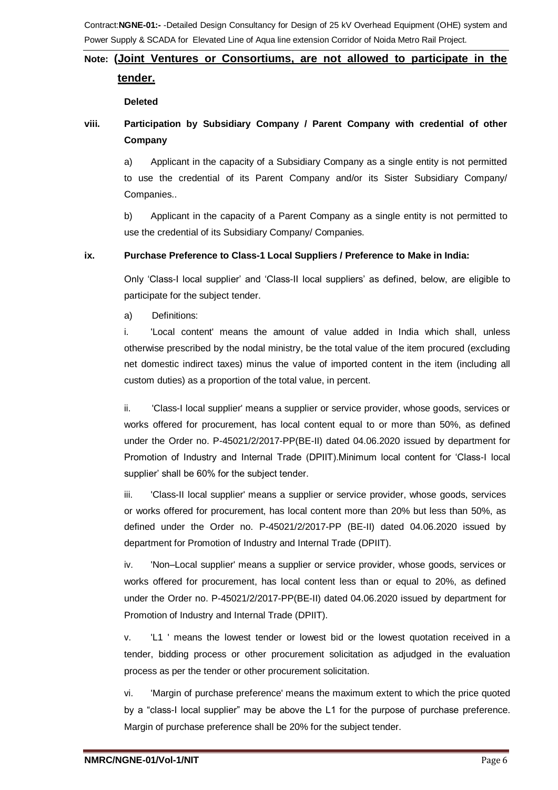## **Note: (Joint Ventures or Consortiums, are not allowed to participate in the**

# **tender.**

## **Deleted**

# **viii. Participation by Subsidiary Company / Parent Company with credential of other Company**

a) Applicant in the capacity of a Subsidiary Company as a single entity is not permitted to use the credential of its Parent Company and/or its Sister Subsidiary Company/ Companies..

b) Applicant in the capacity of a Parent Company as a single entity is not permitted to use the credential of its Subsidiary Company/ Companies.

# **ix. Purchase Preference to Class-1 Local Suppliers / Preference to Make in India:**

Only 'Class-I local supplier' and 'Class-II local suppliers' as defined, below, are eligible to participate for the subject tender.

a) Definitions:

i. 'Local content' means the amount of value added in India which shall, unless otherwise prescribed by the nodal ministry, be the total value of the item procured (excluding net domestic indirect taxes) minus the value of imported content in the item (including all custom duties) as a proportion of the total value, in percent.

ii. 'Class-I local supplier' means a supplier or service provider, whose goods, services or works offered for procurement, has local content equal to or more than 50%, as defined under the Order no. P-45021/2/2017-PP(BE-II) dated 04.06.2020 issued by department for Promotion of Industry and Internal Trade (DPIIT).Minimum local content for 'Class-I local supplier' shall be 60% for the subject tender.

iii. 'Class-II local supplier' means a supplier or service provider, whose goods, services or works offered for procurement, has local content more than 20% but less than 50%, as defined under the Order no. P-45021/2/2017-PP (BE-II) dated 04.06.2020 issued by department for Promotion of Industry and Internal Trade (DPIIT).

iv. 'Non–Local supplier' means a supplier or service provider, whose goods, services or works offered for procurement, has local content less than or equal to 20%, as defined under the Order no. P-45021/2/2017-PP(BE-II) dated 04.06.2020 issued by department for Promotion of Industry and Internal Trade (DPIIT).

v. 'L1 ' means the lowest tender or lowest bid or the lowest quotation received in a tender, bidding process or other procurement solicitation as adjudged in the evaluation process as per the tender or other procurement solicitation.

vi. 'Margin of purchase preference' means the maximum extent to which the price quoted by a "class-I local supplier" may be above the L1 for the purpose of purchase preference. Margin of purchase preference shall be 20% for the subject tender.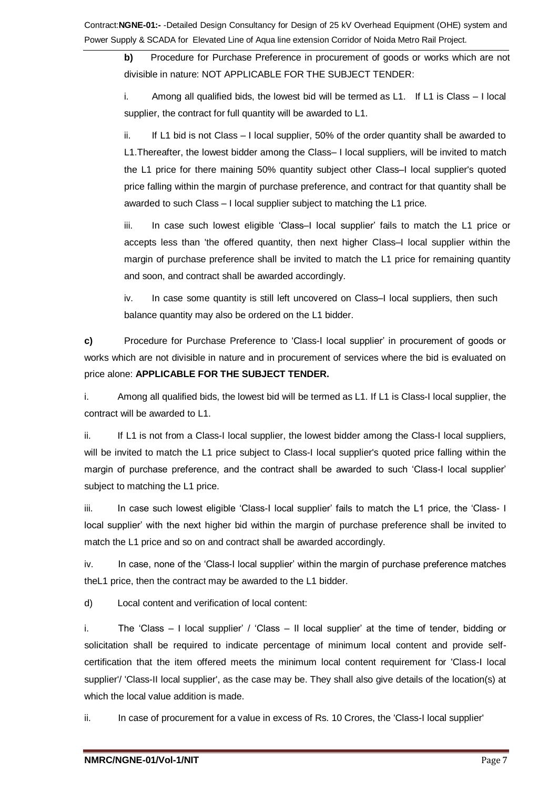**b)** Procedure for Purchase Preference in procurement of goods or works which are not divisible in nature: NOT APPLICABLE FOR THE SUBJECT TENDER:

i. Among all qualified bids, the lowest bid will be termed as L1. If L1 is Class – I local supplier, the contract for full quantity will be awarded to L1.

ii. If L1 bid is not Class – I local supplier, 50% of the order quantity shall be awarded to L1.Thereafter, the lowest bidder among the Class– I local suppliers, will be invited to match the L1 price for there maining 50% quantity subject other Class–I local supplier's quoted price falling within the margin of purchase preference, and contract for that quantity shall be awarded to such Class – I local supplier subject to matching the L1 price.

iii. In case such lowest eligible 'Class–I local supplier' fails to match the L1 price or accepts less than 'the offered quantity, then next higher Class–I local supplier within the margin of purchase preference shall be invited to match the L1 price for remaining quantity and soon, and contract shall be awarded accordingly.

iv. In case some quantity is still left uncovered on Class–I local suppliers, then such balance quantity may also be ordered on the L1 bidder.

**c)** Procedure for Purchase Preference to 'Class-I local supplier' in procurement of goods or works which are not divisible in nature and in procurement of services where the bid is evaluated on price alone: **APPLICABLE FOR THE SUBJECT TENDER.**

i. Among all qualified bids, the lowest bid will be termed as L1. If L1 is Class-I local supplier, the contract will be awarded to L1.

ii. If L1 is not from a Class-I local supplier, the lowest bidder among the Class-I local suppliers, will be invited to match the L1 price subject to Class-I local supplier's quoted price falling within the margin of purchase preference, and the contract shall be awarded to such 'Class-I local supplier' subject to matching the L1 price.

iii. In case such lowest eligible 'Class-I local supplier' fails to match the L1 price, the 'Class- I local supplier' with the next higher bid within the margin of purchase preference shall be invited to match the L1 price and so on and contract shall be awarded accordingly.

iv. In case, none of the 'Class-I local supplier' within the margin of purchase preference matches theL1 price, then the contract may be awarded to the L1 bidder.

d) Local content and verification of local content:

i. The 'Class – I local supplier' / 'Class – II local supplier' at the time of tender, bidding or solicitation shall be required to indicate percentage of minimum local content and provide selfcertification that the item offered meets the minimum local content requirement for 'Class-I local supplier'/ 'Class-II local supplier', as the case may be. They shall also give details of the location(s) at which the local value addition is made.

ii. In case of procurement for a value in excess of Rs. 10 Crores, the 'Class-I local supplier'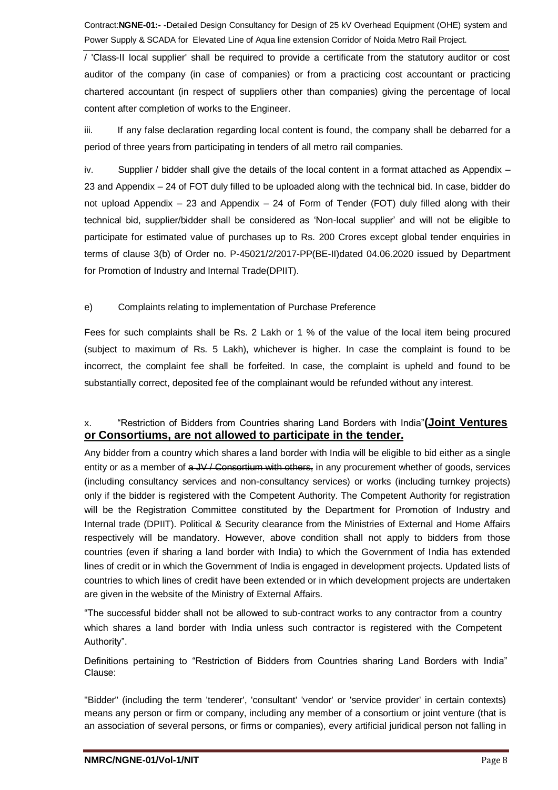/ 'Class-II local supplier' shall be required to provide a certificate from the statutory auditor or cost auditor of the company (in case of companies) or from a practicing cost accountant or practicing chartered accountant (in respect of suppliers other than companies) giving the percentage of local content after completion of works to the Engineer.

iii. If any false declaration regarding local content is found, the company shall be debarred for a period of three years from participating in tenders of all metro rail companies.

iv. Supplier / bidder shall give the details of the local content in a format attached as Appendix – 23 and Appendix – 24 of FOT duly filled to be uploaded along with the technical bid. In case, bidder do not upload Appendix – 23 and Appendix – 24 of Form of Tender (FOT) duly filled along with their technical bid, supplier/bidder shall be considered as 'Non-local supplier' and will not be eligible to participate for estimated value of purchases up to Rs. 200 Crores except global tender enquiries in terms of clause 3(b) of Order no. P-45021/2/2017-PP(BE-II)dated 04.06.2020 issued by Department for Promotion of Industry and Internal Trade(DPIIT).

## e) Complaints relating to implementation of Purchase Preference

Fees for such complaints shall be Rs. 2 Lakh or 1 % of the value of the local item being procured (subject to maximum of Rs. 5 Lakh), whichever is higher. In case the complaint is found to be incorrect, the complaint fee shall be forfeited. In case, the complaint is upheld and found to be substantially correct, deposited fee of the complainant would be refunded without any interest.

# x. "Restriction of Bidders from Countries sharing Land Borders with India"**(Joint Ventures or Consortiums, are not allowed to participate in the tender.**

Any bidder from a country which shares a land border with India will be eligible to bid either as a single entity or as a member of  $a$  JV / Consortium with others, in any procurement whether of goods, services (including consultancy services and non-consultancy services) or works (including turnkey projects) only if the bidder is registered with the Competent Authority. The Competent Authority for registration will be the Registration Committee constituted by the Department for Promotion of Industry and Internal trade (DPIIT). Political & Security clearance from the Ministries of External and Home Affairs respectively will be mandatory. However, above condition shall not apply to bidders from those countries (even if sharing a land border with India) to which the Government of India has extended lines of credit or in which the Government of India is engaged in development projects. Updated lists of countries to which lines of credit have been extended or in which development projects are undertaken are given in the website of the Ministry of External Affairs.

"The successful bidder shall not be allowed to sub-contract works to any contractor from a country which shares a land border with India unless such contractor is registered with the Competent Authority".

Definitions pertaining to "Restriction of Bidders from Countries sharing Land Borders with India" Clause:

"Bidder" (including the term 'tenderer', 'consultant' 'vendor' or 'service provider' in certain contexts) means any person or firm or company, including any member of a consortium or joint venture (that is an association of several persons, or firms or companies), every artificial juridical person not falling in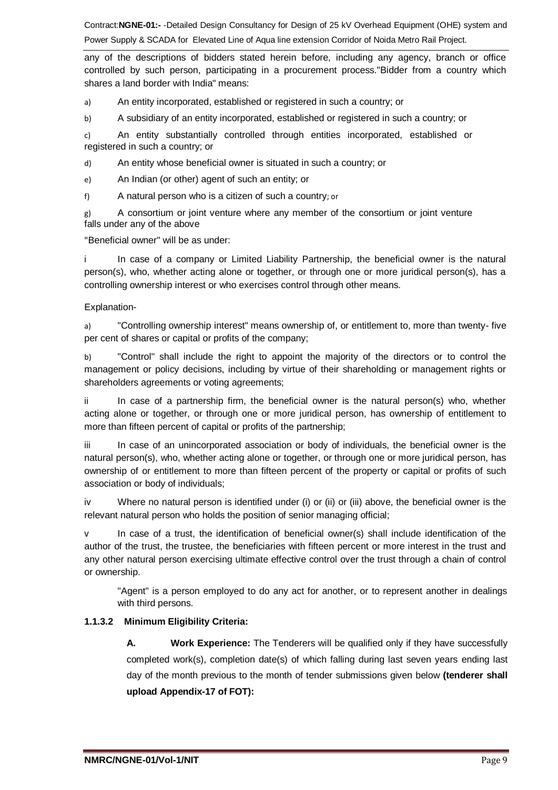any of the descriptions of bidders stated herein before, including any agency, branch or office controlled by such person, participating in a procurement process."Bidder from a country which shares a land border with India" means:

a) An entity incorporated, established or registered in such a country; or

b) A subsidiary of an entity incorporated, established or registered in such a country; or

c) An entity substantially controlled through entities incorporated, established or registered in such a country; or

d) An entity whose beneficial owner is situated in such a country; or

e) An Indian (or other) agent of such an entity; or

f) A natural person who is a citizen of such a country; or

g) A consortium or joint venture where any member of the consortium or joint venture falls under any of the above

"Beneficial owner" will be as under:

i In case of a company or Limited Liability Partnership, the beneficial owner is the natural person(s), who, whether acting alone or together, or through one or more juridical person(s), has a controlling ownership interest or who exercises control through other means.

### Explanation-

a) "Controlling ownership interest" means ownership of, or entitlement to, more than twenty- five per cent of shares or capital or profits of the company;

b) "Control" shall include the right to appoint the majority of the directors or to control the management or policy decisions, including by virtue of their shareholding or management rights or shareholders agreements or voting agreements;

ii In case of a partnership firm, the beneficial owner is the natural person(s) who, whether acting alone or together, or through one or more juridical person, has ownership of entitlement to more than fifteen percent of capital or profits of the partnership;

iii In case of an unincorporated association or body of individuals, the beneficial owner is the natural person(s), who, whether acting alone or together, or through one or more juridical person, has ownership of or entitlement to more than fifteen percent of the property or capital or profits of such association or body of individuals;

iv Where no natural person is identified under (i) or (ii) or (iii) above, the beneficial owner is the relevant natural person who holds the position of senior managing official;

v In case of a trust, the identification of beneficial owner(s) shall include identification of the author of the trust, the trustee, the beneficiaries with fifteen percent or more interest in the trust and any other natural person exercising ultimate effective control over the trust through a chain of control or ownership.

"Agent" is a person employed to do any act for another, or to represent another in dealings with third persons.

## **1.1.3.2 Minimum Eligibility Criteria:**

**A. Work Experience:** The Tenderers will be qualified only if they have successfully completed work(s), completion date(s) of which falling during last seven years ending last day of the month previous to the month of tender submissions given below **(tenderer shall upload Appendix-17 of FOT):**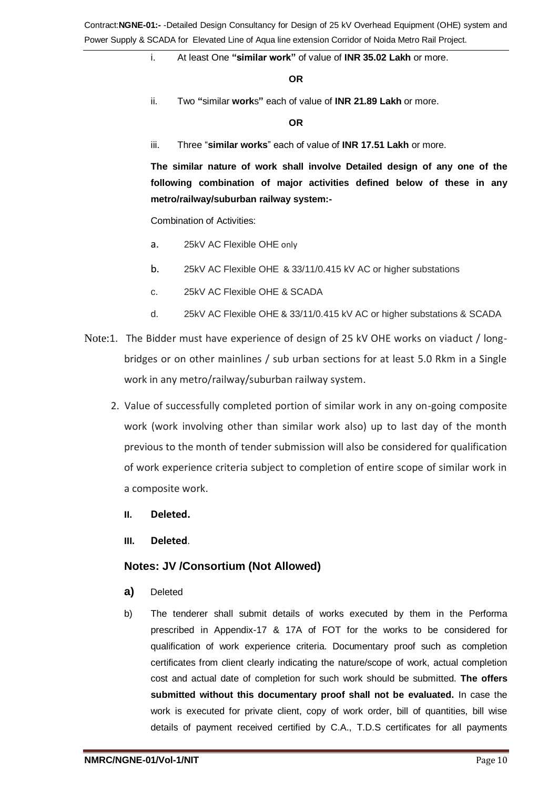## i. At least One **"similar work"** of value of **INR 35.02 Lakh** or more.

#### **OR**

ii. Two **"**similar **work**s**"** each of value of **INR 21.89 Lakh** or more.

#### **OR**

iii. Three "**similar works**" each of value of **INR 17.51 Lakh** or more.

**The similar nature of work shall involve Detailed design of any one of the following combination of major activities defined below of these in any metro/railway/suburban railway system:-**

Combination of Activities:

- a. 25kV AC Flexible OHE only
- b. 25kV AC Flexible OHE & 33/11/0.415 kV AC or higher substations
- c. 25kV AC Flexible OHE & SCADA
- d. 25kV AC Flexible OHE & 33/11/0.415 kV AC or higher substations & SCADA
- Note:1. The Bidder must have experience of design of 25 kV OHE works on viaduct / longbridges or on other mainlines / sub urban sections for at least 5.0 Rkm in a Single work in any metro/railway/suburban railway system.
	- 2. Value of successfully completed portion of similar work in any on-going composite work (work involving other than similar work also) up to last day of the month previous to the month of tender submission will also be considered for qualification of work experience criteria subject to completion of entire scope of similar work in a composite work.
		- **II. Deleted.**
		- **III. Deleted**.

## **Notes: JV /Consortium (Not Allowed)**

- **a)** Deleted
- b) The tenderer shall submit details of works executed by them in the Performa prescribed in Appendix-17 & 17A of FOT for the works to be considered for qualification of work experience criteria. Documentary proof such as completion certificates from client clearly indicating the nature/scope of work, actual completion cost and actual date of completion for such work should be submitted. **The offers submitted without this documentary proof shall not be evaluated.** In case the work is executed for private client, copy of work order, bill of quantities, bill wise details of payment received certified by C.A., T.D.S certificates for all payments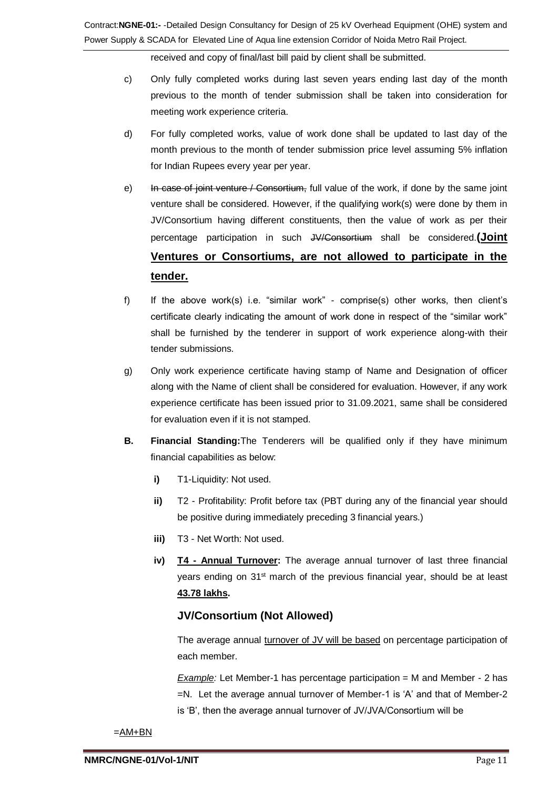received and copy of final/last bill paid by client shall be submitted.

- c) Only fully completed works during last seven years ending last day of the month previous to the month of tender submission shall be taken into consideration for meeting work experience criteria.
- d) For fully completed works, value of work done shall be updated to last day of the month previous to the month of tender submission price level assuming 5% inflation for Indian Rupees every year per year.
- e) In case of joint venture / Consortium, full value of the work, if done by the same joint venture shall be considered. However, if the qualifying work(s) were done by them in JV/Consortium having different constituents, then the value of work as per their percentage participation in such JV/Consortium shall be considered.**(Joint Ventures or Consortiums, are not allowed to participate in the tender.**
- f) If the above work(s) i.e. "similar work" comprise(s) other works, then client's certificate clearly indicating the amount of work done in respect of the "similar work" shall be furnished by the tenderer in support of work experience along-with their tender submissions.
- g) Only work experience certificate having stamp of Name and Designation of officer along with the Name of client shall be considered for evaluation. However, if any work experience certificate has been issued prior to 31.09.2021, same shall be considered for evaluation even if it is not stamped.
- **B. Financial Standing:**The Tenderers will be qualified only if they have minimum financial capabilities as below:
	- **i)** T1-Liquidity: Not used.
	- **ii)** T2 Profitability: Profit before tax (PBT during any of the financial year should be positive during immediately preceding 3 financial years.)
	- **iii)** T3 Net Worth: Not used.
	- **iv) T4 - Annual Turnover:** The average annual turnover of last three financial years ending on 31<sup>st</sup> march of the previous financial year, should be at least **43.78 lakhs.**

# **JV/Consortium (Not Allowed)**

The average annual turnover of JV will be based on percentage participation of each member.

*Example:* Let Member-1 has percentage participation = M and Member - 2 has =N. Let the average annual turnover of Member-1 is 'A' and that of Member-2 is 'B', then the average annual turnover of JV/JVA/Consortium will be

 $=AM+BN$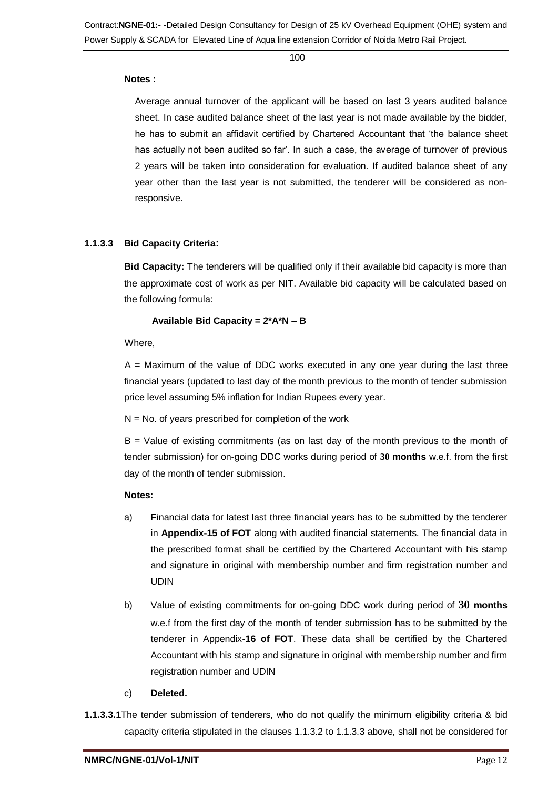100

### **Notes :**

Average annual turnover of the applicant will be based on last 3 years audited balance sheet. In case audited balance sheet of the last year is not made available by the bidder, he has to submit an affidavit certified by Chartered Accountant that 'the balance sheet has actually not been audited so far'. In such a case, the average of turnover of previous 2 years will be taken into consideration for evaluation. If audited balance sheet of any year other than the last year is not submitted, the tenderer will be considered as nonresponsive.

### **1.1.3.3 Bid Capacity Criteria:**

**Bid Capacity:** The tenderers will be qualified only if their available bid capacity is more than the approximate cost of work as per NIT. Available bid capacity will be calculated based on the following formula:

### **Available Bid Capacity = 2\*A\*N – B**

Where,

 $A =$  Maximum of the value of DDC works executed in any one year during the last three financial years (updated to last day of the month previous to the month of tender submission price level assuming 5% inflation for Indian Rupees every year.

 $N = No$ . of years prescribed for completion of the work

 $B =$  Value of existing commitments (as on last day of the month previous to the month of tender submission) for on-going DDC works during period of **30 months** w.e.f. from the first day of the month of tender submission.

### **Notes:**

- a) Financial data for latest last three financial years has to be submitted by the tenderer in **Appendix-15 of FOT** along with audited financial statements. The financial data in the prescribed format shall be certified by the Chartered Accountant with his stamp and signature in original with membership number and firm registration number and UDIN
- b) Value of existing commitments for on-going DDC work during period of **30 months** w.e.f from the first day of the month of tender submission has to be submitted by the tenderer in Appendix**-16 of FOT**. These data shall be certified by the Chartered Accountant with his stamp and signature in original with membership number and firm registration number and UDIN
- c) **Deleted.**
- **1.1.3.3.1**The tender submission of tenderers, who do not qualify the minimum eligibility criteria & bid capacity criteria stipulated in the clauses 1.1.3.2 to 1.1.3.3 above, shall not be considered for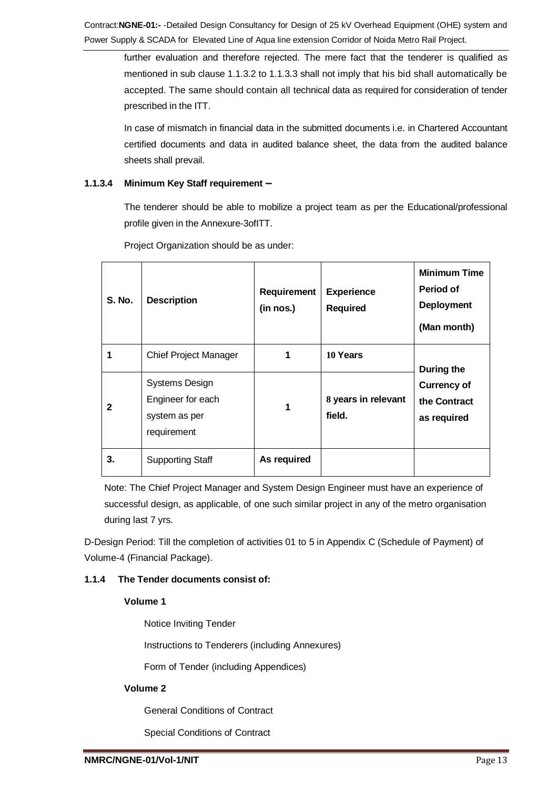further evaluation and therefore rejected. The mere fact that the tenderer is qualified as mentioned in sub clause 1.1.3.2 to 1.1.3.3 shall not imply that his bid shall automatically be accepted. The same should contain all technical data as required for consideration of tender prescribed in the ITT.

In case of mismatch in financial data in the submitted documents i.e. in Chartered Accountant certified documents and data in audited balance sheet, the data from the audited balance sheets shall prevail.

## **1.1.3.4 Minimum Key Staff requirement –**

The tenderer should be able to mobilize a project team as per the Educational/professional profile given in the Annexure-3ofITT.

| S. No. | <b>Description</b>                                                         | <b>Requirement</b><br>(in nos.) | <b>Experience</b><br><b>Required</b> | <b>Minimum Time</b><br>Period of<br><b>Deployment</b><br>(Man month) |
|--------|----------------------------------------------------------------------------|---------------------------------|--------------------------------------|----------------------------------------------------------------------|
| 1      | <b>Chief Project Manager</b>                                               |                                 | 10 Years                             | During the                                                           |
| 2      | <b>Systems Design</b><br>Engineer for each<br>system as per<br>requirement |                                 | 8 years in relevant<br>field.        | <b>Currency of</b><br>the Contract<br>as required                    |
| 3.     | <b>Supporting Staff</b>                                                    | As required                     |                                      |                                                                      |

Project Organization should be as under:

Note: The Chief Project Manager and System Design Engineer must have an experience of successful design, as applicable, of one such similar project in any of the metro organisation during last 7 yrs.

D-Design Period: Till the completion of activities 01 to 5 in Appendix C (Schedule of Payment) of Volume-4 (Financial Package).

## **1.1.4 The Tender documents consist of:**

## **Volume 1**

Notice Inviting Tender

Instructions to Tenderers (including Annexures)

Form of Tender (including Appendices)

# **Volume 2**

General Conditions of Contract

Special Conditions of Contract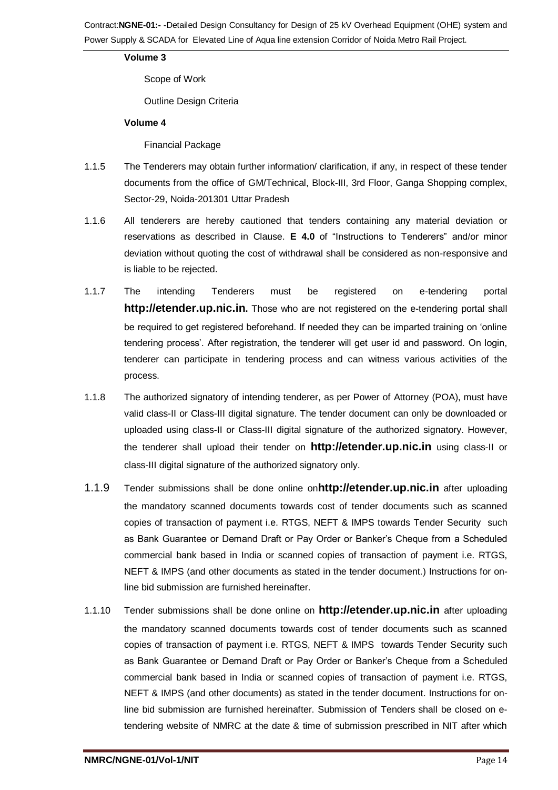## **Volume 3**

Scope of Work

Outline Design Criteria

### **Volume 4**

Financial Package

- 1.1.5 The Tenderers may obtain further information/ clarification, if any, in respect of these tender documents from the office of GM/Technical, Block-III, 3rd Floor, Ganga Shopping complex, Sector-29, Noida-201301 Uttar Pradesh
- 1.1.6 All tenderers are hereby cautioned that tenders containing any material deviation or reservations as described in Clause. **E 4.0** of "Instructions to Tenderers" and/or minor deviation without quoting the cost of withdrawal shall be considered as non-responsive and is liable to be rejected.
- 1.1.7 The intending Tenderers must be registered on e-tendering portal **http://etender.up.nic.in.** Those who are not registered on the e-tendering portal shall be required to get registered beforehand. If needed they can be imparted training on 'online tendering process'. After registration, the tenderer will get user id and password. On login, tenderer can participate in tendering process and can witness various activities of the process.
- 1.1.8 The authorized signatory of intending tenderer, as per Power of Attorney (POA), must have valid class-II or Class-III digital signature. The tender document can only be downloaded or uploaded using class-II or Class-III digital signature of the authorized signatory. However, the tenderer shall upload their tender on **http://etender.up.nic.in** using class-II or class-III digital signature of the authorized signatory only.
- 1.1.9 Tender submissions shall be done online on**http://etender.up.nic.in** after uploading the mandatory scanned documents towards cost of tender documents such as scanned copies of transaction of payment i.e. RTGS, NEFT & IMPS towards Tender Security such as Bank Guarantee or Demand Draft or Pay Order or Banker's Cheque from a Scheduled commercial bank based in India or scanned copies of transaction of payment i.e. RTGS, NEFT & IMPS (and other documents as stated in the tender document.) Instructions for online bid submission are furnished hereinafter.
- 1.1.10 Tender submissions shall be done online on **http://etender.up.nic.in** after uploading the mandatory scanned documents towards cost of tender documents such as scanned copies of transaction of payment i.e. RTGS, NEFT & IMPS towards Tender Security such as Bank Guarantee or Demand Draft or Pay Order or Banker's Cheque from a Scheduled commercial bank based in India or scanned copies of transaction of payment i.e. RTGS, NEFT & IMPS (and other documents) as stated in the tender document. Instructions for online bid submission are furnished hereinafter. Submission of Tenders shall be closed on etendering website of NMRC at the date & time of submission prescribed in NIT after which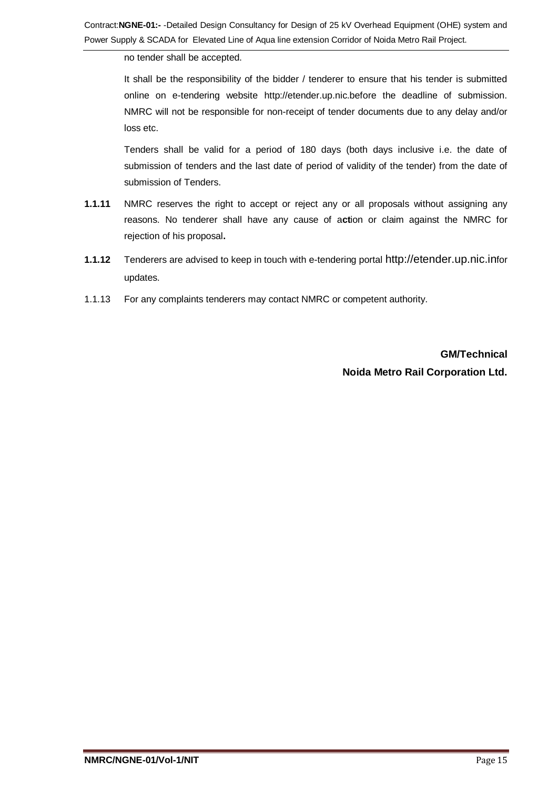no tender shall be accepted.

It shall be the responsibility of the bidder / tenderer to ensure that his tender is submitted online on e-tendering website http://etender.up.nic.before the deadline of submission. NMRC will not be responsible for non-receipt of tender documents due to any delay and/or loss etc.

Tenders shall be valid for a period of 180 days (both days inclusive i.e. the date of submission of tenders and the last date of period of validity of the tender) from the date of submission of Tenders.

- **1.1.11** NMRC reserves the right to accept or reject any or all proposals without assigning any reasons. No tenderer shall have any cause of a**ct**ion or claim against the NMRC for rejection of his proposal**.**
- **1.1.12** Tenderers are advised to keep in touch with e-tendering portal http://etender.up.nic.infor updates.
- 1.1.13 For any complaints tenderers may contact NMRC or competent authority.

**GM/Technical Noida Metro Rail Corporation Ltd.**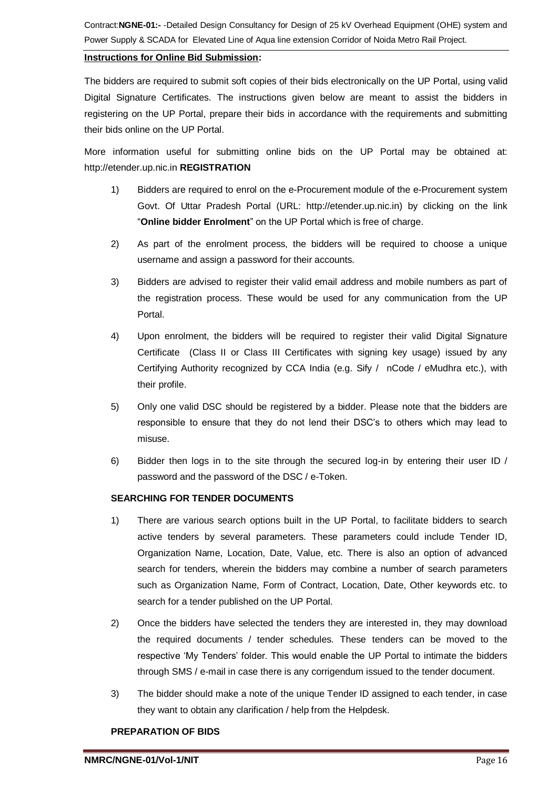## **Instructions for Online Bid Submission:**

The bidders are required to submit soft copies of their bids electronically on the UP Portal, using valid Digital Signature Certificates. The instructions given below are meant to assist the bidders in registering on the UP Portal, prepare their bids in accordance with the requirements and submitting their bids online on the UP Portal.

More information useful for submitting online bids on the UP Portal may be obtained at: http://etender.up.nic.in **REGISTRATION**

- 1) Bidders are required to enrol on the e-Procurement module of the e-Procurement system Govt. Of Uttar Pradesh Portal (URL: http://etender.up.nic.in) by clicking on the link "**Online bidder Enrolment**" on the UP Portal which is free of charge.
- 2) As part of the enrolment process, the bidders will be required to choose a unique username and assign a password for their accounts.
- 3) Bidders are advised to register their valid email address and mobile numbers as part of the registration process. These would be used for any communication from the UP Portal.
- 4) Upon enrolment, the bidders will be required to register their valid Digital Signature Certificate (Class II or Class III Certificates with signing key usage) issued by any Certifying Authority recognized by CCA India (e.g. Sify / nCode / eMudhra etc.), with their profile.
- 5) Only one valid DSC should be registered by a bidder. Please note that the bidders are responsible to ensure that they do not lend their DSC's to others which may lead to misuse.
- 6) Bidder then logs in to the site through the secured log-in by entering their user ID / password and the password of the DSC / e-Token.

## **SEARCHING FOR TENDER DOCUMENTS**

- 1) There are various search options built in the UP Portal, to facilitate bidders to search active tenders by several parameters. These parameters could include Tender ID, Organization Name, Location, Date, Value, etc. There is also an option of advanced search for tenders, wherein the bidders may combine a number of search parameters such as Organization Name, Form of Contract, Location, Date, Other keywords etc. to search for a tender published on the UP Portal.
- 2) Once the bidders have selected the tenders they are interested in, they may download the required documents / tender schedules. These tenders can be moved to the respective 'My Tenders' folder. This would enable the UP Portal to intimate the bidders through SMS / e-mail in case there is any corrigendum issued to the tender document.
- 3) The bidder should make a note of the unique Tender ID assigned to each tender, in case they want to obtain any clarification / help from the Helpdesk.

### **PREPARATION OF BIDS**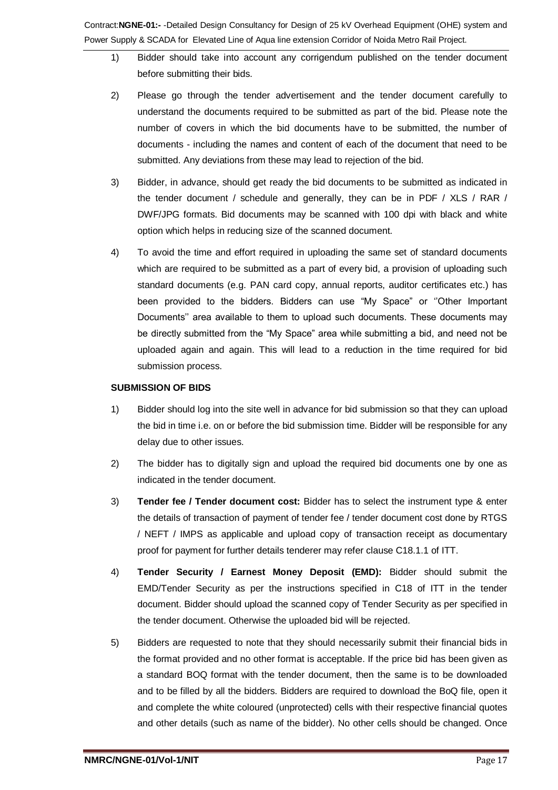- 1) Bidder should take into account any corrigendum published on the tender document before submitting their bids.
- 2) Please go through the tender advertisement and the tender document carefully to understand the documents required to be submitted as part of the bid. Please note the number of covers in which the bid documents have to be submitted, the number of documents - including the names and content of each of the document that need to be submitted. Any deviations from these may lead to rejection of the bid.
- 3) Bidder, in advance, should get ready the bid documents to be submitted as indicated in the tender document / schedule and generally, they can be in PDF / XLS / RAR / DWF/JPG formats. Bid documents may be scanned with 100 dpi with black and white option which helps in reducing size of the scanned document.
- 4) To avoid the time and effort required in uploading the same set of standard documents which are required to be submitted as a part of every bid, a provision of uploading such standard documents (e.g. PAN card copy, annual reports, auditor certificates etc.) has been provided to the bidders. Bidders can use "My Space" or ''Other Important Documents'' area available to them to upload such documents. These documents may be directly submitted from the "My Space" area while submitting a bid, and need not be uploaded again and again. This will lead to a reduction in the time required for bid submission process.

### **SUBMISSION OF BIDS**

- 1) Bidder should log into the site well in advance for bid submission so that they can upload the bid in time i.e. on or before the bid submission time. Bidder will be responsible for any delay due to other issues.
- 2) The bidder has to digitally sign and upload the required bid documents one by one as indicated in the tender document.
- 3) **Tender fee / Tender document cost:** Bidder has to select the instrument type & enter the details of transaction of payment of tender fee / tender document cost done by RTGS / NEFT / IMPS as applicable and upload copy of transaction receipt as documentary proof for payment for further details tenderer may refer clause C18.1.1 of ITT.
- 4) **Tender Security / Earnest Money Deposit (EMD):** Bidder should submit the EMD/Tender Security as per the instructions specified in C18 of ITT in the tender document. Bidder should upload the scanned copy of Tender Security as per specified in the tender document. Otherwise the uploaded bid will be rejected.
- 5) Bidders are requested to note that they should necessarily submit their financial bids in the format provided and no other format is acceptable. If the price bid has been given as a standard BOQ format with the tender document, then the same is to be downloaded and to be filled by all the bidders. Bidders are required to download the BoQ file, open it and complete the white coloured (unprotected) cells with their respective financial quotes and other details (such as name of the bidder). No other cells should be changed. Once